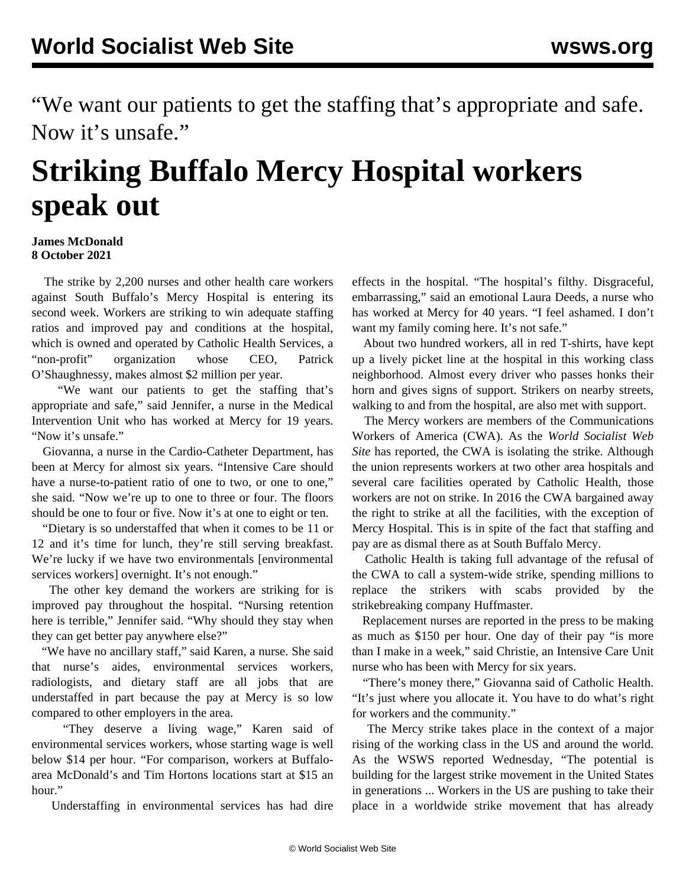"We want our patients to get the staffing that's appropriate and safe. Now it's unsafe."

## **Striking Buffalo Mercy Hospital workers speak out**

## **James McDonald 8 October 2021**

 The strike by 2,200 nurses and other health care workers against South Buffalo's Mercy Hospital is entering its second week. Workers are striking to win adequate staffing ratios and improved pay and conditions at the hospital, which is owned and operated by Catholic Health Services, a "non-profit" organization whose CEO, Patrick O'Shaughnessy, makes almost \$2 million per year.

 "We want our patients to get the staffing that's appropriate and safe," said Jennifer, a nurse in the Medical Intervention Unit who has worked at Mercy for 19 years. "Now it's unsafe."

 Giovanna, a nurse in the Cardio-Catheter Department, has been at Mercy for almost six years. "Intensive Care should have a nurse-to-patient ratio of one to two, or one to one," she said. "Now we're up to one to three or four. The floors should be one to four or five. Now it's at one to eight or ten.

 "Dietary is so understaffed that when it comes to be 11 or 12 and it's time for lunch, they're still serving breakfast. We're lucky if we have two environmentals [environmental] services workers] overnight. It's not enough."

 The other key demand the workers are striking for is improved pay throughout the hospital. "Nursing retention here is terrible," Jennifer said. "Why should they stay when they can get better pay anywhere else?"

 "We have no ancillary staff," said Karen, a nurse. She said that nurse's aides, environmental services workers, radiologists, and dietary staff are all jobs that are understaffed in part because the pay at Mercy is so low compared to other employers in the area.

 "They deserve a living wage," Karen said of environmental services workers, whose starting wage is well below \$14 per hour. "For comparison, workers at Buffaloarea McDonald's and Tim Hortons locations start at \$15 an hour."

Understaffing in environmental services has had dire

effects in the hospital. "The hospital's filthy. Disgraceful, embarrassing," said an emotional Laura Deeds, a nurse who has worked at Mercy for 40 years. "I feel ashamed. I don't want my family coming here. It's not safe."

 About two hundred workers, all in red T-shirts, have kept up a lively picket line at the hospital in this working class neighborhood. Almost every driver who passes honks their horn and gives signs of support. Strikers on nearby streets, walking to and from the hospital, are also met with support.

 The Mercy workers are members of the Communications Workers of America (CWA). As the *World Socialist Web Site* has reported, the CWA is isolating the strike. Although the union represents workers at two other area hospitals and several care facilities operated by Catholic Health, those workers are not on strike. In 2016 the CWA bargained away the right to strike at all the facilities, with the exception of Mercy Hospital. This is in spite of the fact that staffing and pay are as dismal there as at South Buffalo Mercy.

 Catholic Health is taking full advantage of the refusal of the CWA to call a system-wide strike, spending millions to replace the strikers with scabs provided by the strikebreaking company Huffmaster.

 Replacement nurses are reported in the press to be making as much as \$150 per hour. One day of their pay "is more than I make in a week," said Christie, an Intensive Care Unit nurse who has been with Mercy for six years.

 "There's money there," Giovanna said of Catholic Health. "It's just where you allocate it. You have to do what's right for workers and the community."

 The Mercy strike takes place in the context of a major rising of the working class in the US and around the world. As the [WSWS reported Wednesday,](/en/articles/2021/10/07/pers-o07.html) "The potential is building for the largest strike movement in the United States in generations ... Workers in the US are pushing to take their place in a worldwide strike movement that has already